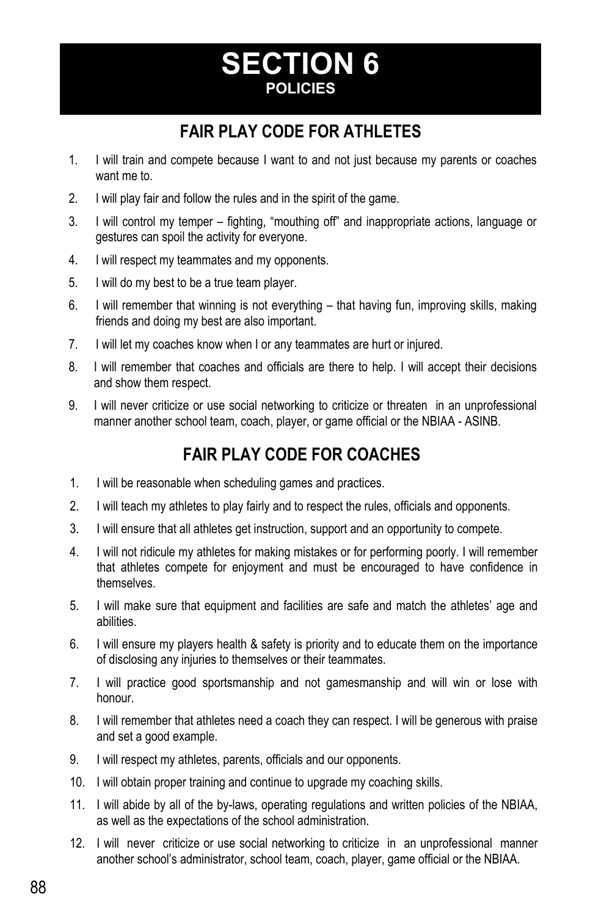# **SECTION 6 POLICIES**

## **FAIR PLAY CODE FOR ATHLETES**

- 1. I will train and compete because I want to and not just because my parents or coaches want me to.
- 2. I will play fair and follow the rules and in the spirit of the game.
- 3. I will control my temper fighting, "mouthing off" and inappropriate actions, language or gestures can spoil the activity for everyone.
- 4. I will respect my teammates and my opponents.
- 5. I will do my best to be a true team player.
- 6. I will remember that winning is not everything that having fun, improving skills, making friends and doing my best are also important.
- 7. I will let my coaches know when I or any teammates are hurt or injured.
- 8. I will remember that coaches and officials are there to help. I will accept their decisions and show them respect.
- 9. I will never criticize or use social networking to criticize or threaten in an unprofessional manner another school team, coach, player, or game official or the NBIAA - ASINB.

## **FAIR PLAY CODE FOR COACHES**

- 1. I will be reasonable when scheduling games and practices.
- 2. I will teach my athletes to play fairly and to respect the rules, officials and opponents.
- 3. I will ensure that all athletes get instruction, support and an opportunity to compete.
- 4. I will not ridicule my athletes for making mistakes or for performing poorly. I will remember that athletes compete for enjoyment and must be encouraged to have confidence in themselves.
- 5. I will make sure that equipment and facilities are safe and match the athletes' age and abilities.
- 6. I will ensure my players health & safety is priority and to educate them on the importance of disclosing any injuries to themselves or their teammates.
- 7. I will practice good sportsmanship and not gamesmanship and will win or lose with honour.
- 8. I will remember that athletes need a coach they can respect. I will be generous with praise and set a good example.
- 9. I will respect my athletes, parents, officials and our opponents.
- 10. I will obtain proper training and continue to upgrade my coaching skills.
- 11. I will abide by all of the by-laws, operating regulations and written policies of the NBIAA, as well as the expectations of the school administration.
- 12. I will never criticize or use social networking to criticize in an unprofessional manner another school's administrator, school team, coach, player, game official or the NBIAA.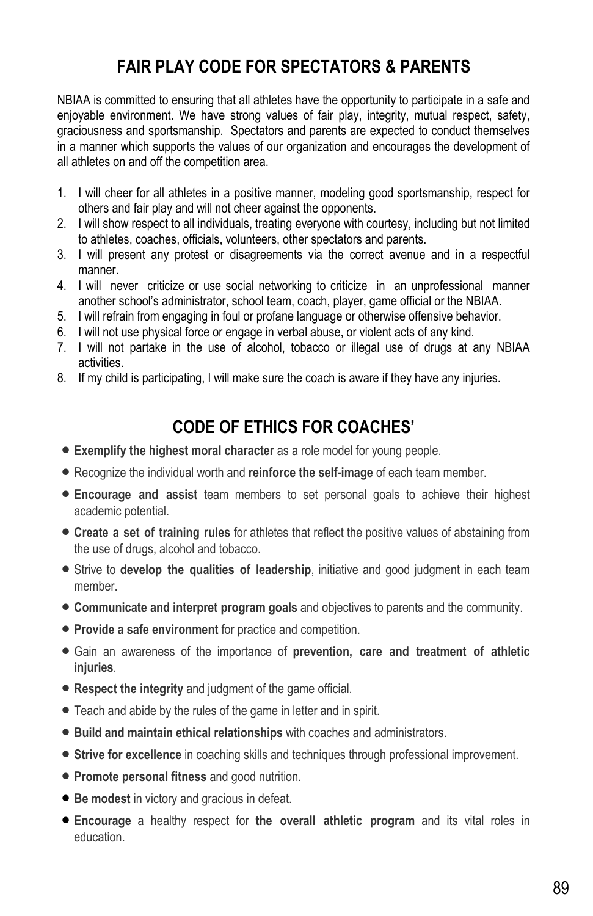## **FAIR PLAY CODE FOR SPECTATORS & PARENTS**

NBIAA is committed to ensuring that all athletes have the opportunity to participate in a safe and enjoyable environment. We have strong values of fair play, integrity, mutual respect, safety, graciousness and sportsmanship. Spectators and parents are expected to conduct themselves in a manner which supports the values of our organization and encourages the development of all athletes on and off the competition area.

- 1. I will cheer for all athletes in a positive manner, modeling good sportsmanship, respect for others and fair play and will not cheer against the opponents.
- 2. I will show respect to all individuals, treating everyone with courtesy, including but not limited to athletes, coaches, officials, volunteers, other spectators and parents.
- 3. I will present any protest or disagreements via the correct avenue and in a respectful manner.
- 4. I will never criticize or use social networking to criticize in an unprofessional manner another school's administrator, school team, coach, player, game official or the NBIAA.
- 5. I will refrain from engaging in foul or profane language or otherwise offensive behavior.
- 6. I will not use physical force or engage in verbal abuse, or violent acts of any kind.
- 7. I will not partake in the use of alcohol, tobacco or illegal use of drugs at any NBIAA activities.
- 8. If my child is participating, I will make sure the coach is aware if they have any injuries.

### **CODE OF ETHICS FOR COACHES'**

- **Exemplify the highest moral character** as a role model for young people.
- Recognize the individual worth and **reinforce the self-image** of each team member.
- **Encourage and assist** team members to set personal goals to achieve their highest academic potential.
- **Create a set of training rules** for athletes that reflect the positive values of abstaining from the use of drugs, alcohol and tobacco.
- Strive to **develop the qualities of leadership**, initiative and good judgment in each team member.
- **Communicate and interpret program goals** and objectives to parents and the community.
- **Provide a safe environment** for practice and competition.
- Gain an awareness of the importance of **prevention, care and treatment of athletic injuries**.
- **Respect the integrity** and judgment of the game official.
- Teach and abide by the rules of the game in letter and in spirit.
- **Build and maintain ethical relationships** with coaches and administrators.
- **Strive for excellence** in coaching skills and techniques through professional improvement.
- **Promote personal fitness** and good nutrition.
- **Be modest** in victory and gracious in defeat.
- **Encourage** a healthy respect for **the overall athletic program** and its vital roles in education.